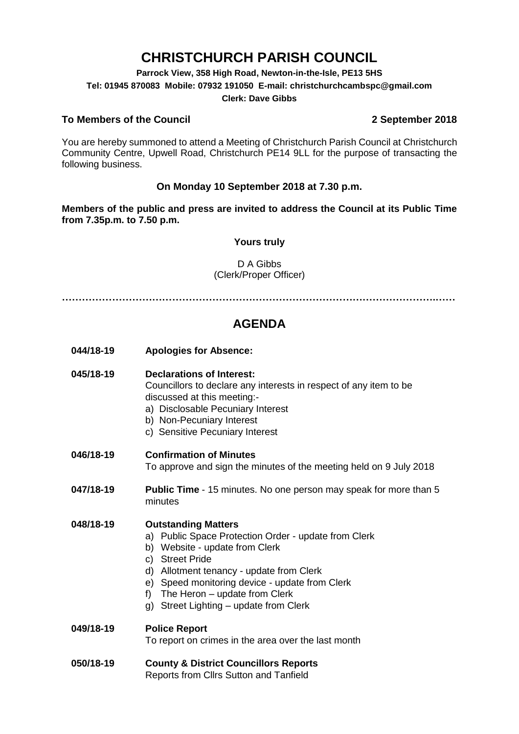# **CHRISTCHURCH PARISH COUNCIL**

**Parrock View, 358 High Road, Newton-in-the-Isle, PE13 5HS Tel: 01945 870083 Mobile: 07932 191050 E-mail: christchurchcambspc@gmail.com Clerk: Dave Gibbs**

## **To Members of the Council 2 September 2018**

You are hereby summoned to attend a Meeting of Christchurch Parish Council at Christchurch Community Centre, Upwell Road, Christchurch PE14 9LL for the purpose of transacting the following business.

## **On Monday 10 September 2018 at 7.30 p.m.**

**Members of the public and press are invited to address the Council at its Public Time from 7.35p.m. to 7.50 p.m.** 

## **Yours truly**

D A Gibbs (Clerk/Proper Officer)

**………………………………………………………………………………………………….……**

## **AGENDA**

**044/18-19 Apologies for Absence:** 

#### **045/18-19 Declarations of Interest:**

Councillors to declare any interests in respect of any item to be discussed at this meeting:-

- a) Disclosable Pecuniary Interest
- b) Non-Pecuniary Interest
- c) Sensitive Pecuniary Interest

#### **046/18-19 Confirmation of Minutes**

To approve and sign the minutes of the meeting held on 9 July 2018

**047/18-19 Public Time** - 15 minutes. No one person may speak for more than 5 minutes

## **048/18-19 Outstanding Matters**

- a) Public Space Protection Order update from Clerk
- b) Website update from Clerk
- c) Street Pride
- d) Allotment tenancy update from Clerk
- e) Speed monitoring device update from Clerk
- f) The Heron update from Clerk
- g) Street Lighting update from Clerk

## **049/18-19 Police Report** To report on crimes in the area over the last month

**050/18-19 County & District Councillors Reports**  Reports from Cllrs Sutton and Tanfield